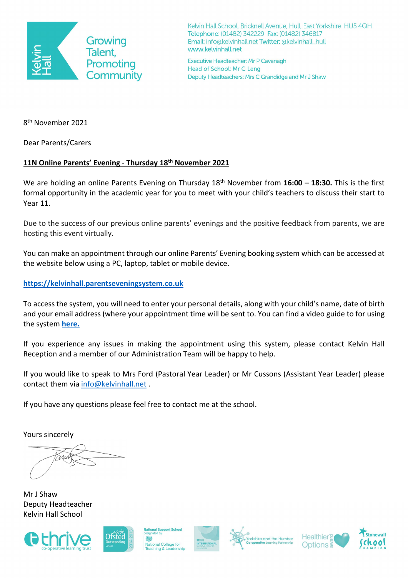

Kelvin Hall School, Bricknell Avenue, Hull, East Yorkshire HU5 4QH Telephone: (01482) 342229 Fax: (01482) 346817 Email: info@kelvinhall.net Twitter: @kelvinhall\_hull www.kelvinhall.net

Executive Headteacher: Mr P Cavanagh Head of School: Mr C Leng Deputy Headteachers: Mrs C Grandidge and Mr J Shaw

8th November 2021

Dear Parents/Carers

# **11N Online Parents' Evening** - **Thursday 18th November 2021**

We are holding an online Parents Evening on Thursday 18<sup>th</sup> November from 16:00 - 18:30. This is the first formal opportunity in the academic year for you to meet with your child's teachers to discuss their start to Year 11.

Due to the success of our previous online parents' evenings and the positive feedback from parents, we are hosting this event virtually.

You can make an appointment through our online Parents' Evening booking system which can be accessed at the website below using a PC, laptop, tablet or mobile device.

## **[https://kelvinhall.parentseveningsystem.co.uk](https://kelvinhall.parentseveningsystem.co.uk/)**

To access the system, you will need to enter your personal details, along with your child's name, date of birth and your email address (where your appointment time will be sent to. You can find a video guide to for using the system **[here.](https://www.kelvinhall.net/parent-guide)**

If you experience any issues in making the appointment using this system, please contact Kelvin Hall Reception and a member of our Administration Team will be happy to help.

If you would like to speak to Mrs Ford (Pastoral Year Leader) or Mr Cussons (Assistant Year Leader) please contact them via [info@kelvinhall.net](mailto:info@kelvinhall.net).

If you have any questions please feel free to contact me at the school.

Yours sincerely

Mr J Shaw Deputy Headteacher Kelvin Hall School





al College for





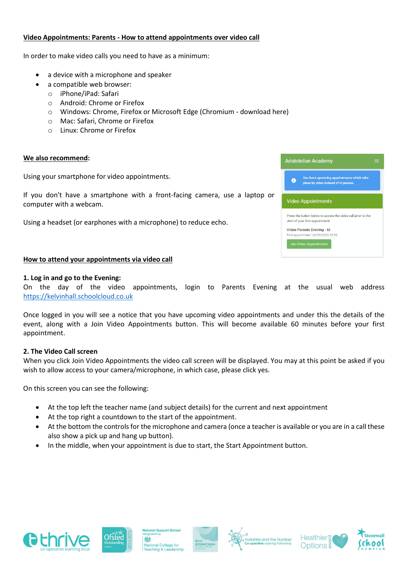### **Video Appointments: Parents - How to attend appointments over video call**

In order to make video calls you need to have as a minimum:

- a device with a microphone and speaker
	- a compatible web browser:
		- o iPhone/iPad: Safari
		- o Android: Chrome or Firefox
		- o Windows: Chrome, Firefox or Microsoft Edge (Chromium download here)
		- o Mac: Safari, Chrome or Firefox
		- o Linux: Chrome or Firefox

#### **We also recommend:**

Using your smartphone for video appointments.

If you don't have a smartphone with a front-facing camera, use a laptop or computer with a webcam.

Using a headset (or earphones with a microphone) to reduce echo.

| How to attend your appointments via video call |
|------------------------------------------------|
|------------------------------------------------|

#### **1. Log in and go to the Evening:**

On the day of the video appointments, login to Parents Evening at the usual web address [https://kelvinhall.schoolcloud.co.uk](https://kelvinhall.schoolcloud.co.uk/)

Once logged in you will see a notice that you have upcoming video appointments and under this the details of the event, along with a Join Video Appointments button. This will become available 60 minutes before your first appointment.

#### **2. The Video Call screen**

When you click Join Video Appointments the video call screen will be displayed. You may at this point be asked if you wish to allow access to your camera/microphone, in which case, please click yes.

On this screen you can see the following:

- At the top left the teacher name (and subject details) for the current and next appointment
- At the top right a countdown to the start of the appointment.
- At the bottom the controls for the microphone and camera (once a teacher is available or you are in a call these also show a pick up and hang up button).
- In the middle, when your appointment is due to start, the Start Appointment button.













| 6 | You have upcoming appointments which take<br>place by video instead of in-person.                |
|---|--------------------------------------------------------------------------------------------------|
|   | <b>Video Appointments</b>                                                                        |
|   | Press the button below to access the video call prior to the<br>start of your first appointment. |
|   | Video Parents Evening - M<br>First appointment: 26/03/2020 15:50                                 |
|   |                                                                                                  |